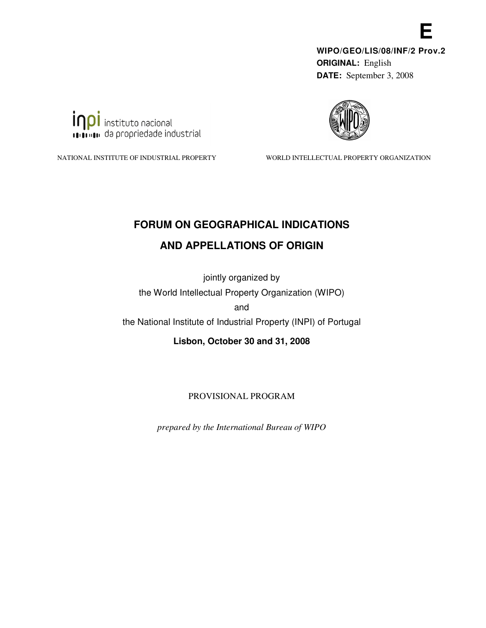**WIPO/GEO/LIS/08/INF/2 Prov.2 ORIGINAL:** English **DATE:** September 3, 2008

**E** 



inpi instituto nacional **INTERNATION** da propriedade industrial

NATIONAL INSTITUTE OF INDUSTRIAL PROPERTY WORLD INTELLECTUAL PROPERTY ORGANIZATION

# **FORUM ON GEOGRAPHICAL INDICATIONS**

# **AND APPELLATIONS OF ORIGIN**

jointly organized by the World Intellectual Property Organization (WIPO) and

the National Institute of Industrial Property (INPI) of Portugal

**Lisbon, October 30 and 31, 2008** 

PROVISIONAL PROGRAM

*prepared by the International Bureau of WIPO*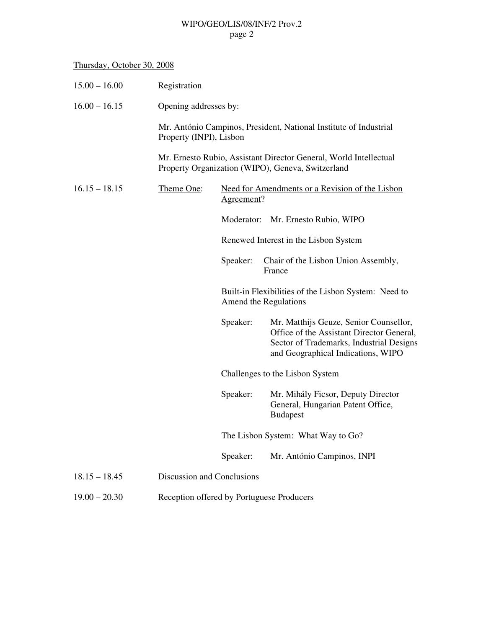### WIPO/GEO/LIS/08/INF/2 Prov.2 page 2

### Thursday, October 30, 2008

| $15.00 - 16.00$ | Registration                                                                                                           |                                    |                                                                                                                                                                       |
|-----------------|------------------------------------------------------------------------------------------------------------------------|------------------------------------|-----------------------------------------------------------------------------------------------------------------------------------------------------------------------|
| $16.00 - 16.15$ | Opening addresses by:                                                                                                  |                                    |                                                                                                                                                                       |
|                 | Property (INPI), Lisbon                                                                                                |                                    | Mr. António Campinos, President, National Institute of Industrial                                                                                                     |
|                 | Mr. Ernesto Rubio, Assistant Director General, World Intellectual<br>Property Organization (WIPO), Geneva, Switzerland |                                    |                                                                                                                                                                       |
| $16.15 - 18.15$ | Theme One:                                                                                                             | Agreement?                         | Need for Amendments or a Revision of the Lisbon                                                                                                                       |
|                 |                                                                                                                        | Moderator:                         | Mr. Ernesto Rubio, WIPO                                                                                                                                               |
|                 |                                                                                                                        |                                    | Renewed Interest in the Lisbon System                                                                                                                                 |
|                 |                                                                                                                        | Speaker:                           | Chair of the Lisbon Union Assembly,<br>France                                                                                                                         |
|                 |                                                                                                                        |                                    | Built-in Flexibilities of the Lisbon System: Need to<br>Amend the Regulations                                                                                         |
|                 |                                                                                                                        | Speaker:                           | Mr. Matthijs Geuze, Senior Counsellor,<br>Office of the Assistant Director General,<br>Sector of Trademarks, Industrial Designs<br>and Geographical Indications, WIPO |
|                 |                                                                                                                        |                                    | Challenges to the Lisbon System                                                                                                                                       |
|                 |                                                                                                                        | Speaker:                           | Mr. Mihály Ficsor, Deputy Director<br>General, Hungarian Patent Office,<br><b>Budapest</b>                                                                            |
|                 |                                                                                                                        | The Lisbon System: What Way to Go? |                                                                                                                                                                       |
|                 |                                                                                                                        | Speaker:                           | Mr. António Campinos, INPI                                                                                                                                            |
| $18.15 - 18.45$ | Discussion and Conclusions                                                                                             |                                    |                                                                                                                                                                       |
| $19.00 - 20.30$ | Reception offered by Portuguese Producers                                                                              |                                    |                                                                                                                                                                       |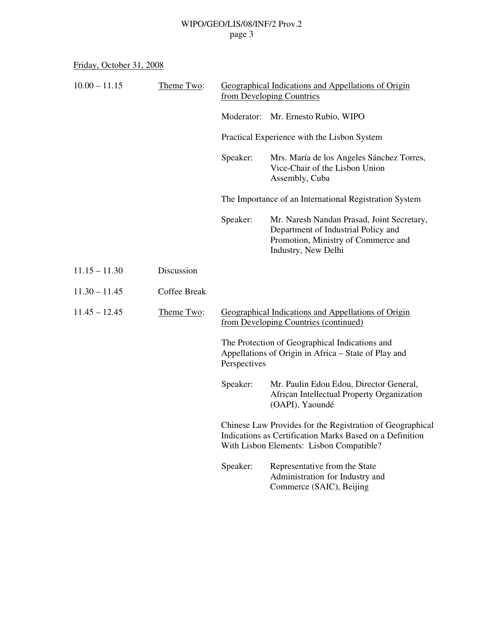### WIPO/GEO/LIS/08/INF/2 Prov.2 page 3

Friday, October 31, 2008

| $10.00 - 11.15$ | Theme Two:          | Geographical Indications and Appellations of Origin<br>from Developing Countries                                                                                  |                                                                                                                                                 |  |
|-----------------|---------------------|-------------------------------------------------------------------------------------------------------------------------------------------------------------------|-------------------------------------------------------------------------------------------------------------------------------------------------|--|
|                 |                     | Moderator:                                                                                                                                                        | Mr. Ernesto Rubio, WIPO                                                                                                                         |  |
|                 |                     | Practical Experience with the Lisbon System                                                                                                                       |                                                                                                                                                 |  |
|                 |                     | Speaker:                                                                                                                                                          | Mrs. María de los Angeles Sánchez Torres,<br>Vice-Chair of the Lisbon Union<br>Assembly, Cuba                                                   |  |
|                 |                     | The Importance of an International Registration System                                                                                                            |                                                                                                                                                 |  |
|                 |                     | Speaker:                                                                                                                                                          | Mr. Naresh Nandan Prasad, Joint Secretary,<br>Department of Industrial Policy and<br>Promotion, Ministry of Commerce and<br>Industry, New Delhi |  |
| $11.15 - 11.30$ | Discussion          |                                                                                                                                                                   |                                                                                                                                                 |  |
| $11.30 - 11.45$ | <b>Coffee Break</b> |                                                                                                                                                                   |                                                                                                                                                 |  |
| $11.45 - 12.45$ | Theme Two:          | Geographical Indications and Appellations of Origin<br>from Developing Countries (continued)                                                                      |                                                                                                                                                 |  |
|                 |                     | The Protection of Geographical Indications and<br>Appellations of Origin in Africa – State of Play and<br>Perspectives                                            |                                                                                                                                                 |  |
|                 |                     | Speaker:                                                                                                                                                          | Mr. Paulin Edou Edou, Director General,<br>African Intellectual Property Organization<br>(OAPI), Yaoundé                                        |  |
|                 |                     | Chinese Law Provides for the Registration of Geographical<br>Indications as Certification Marks Based on a Definition<br>With Lisbon Elements: Lisbon Compatible? |                                                                                                                                                 |  |
|                 |                     | Speaker:                                                                                                                                                          | Representative from the State<br>Administration for Industry and<br>Commerce (SAIC), Beijing                                                    |  |